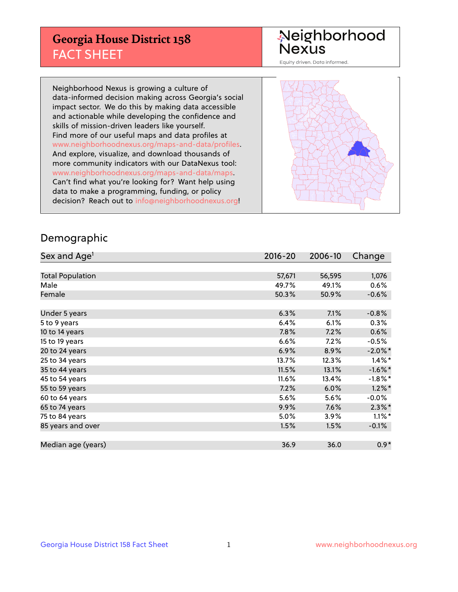## **Georgia House District 158** FACT SHEET

# Neighborhood<br>Nexus

Equity driven. Data informed.

Neighborhood Nexus is growing a culture of data-informed decision making across Georgia's social impact sector. We do this by making data accessible and actionable while developing the confidence and skills of mission-driven leaders like yourself. Find more of our useful maps and data profiles at www.neighborhoodnexus.org/maps-and-data/profiles. And explore, visualize, and download thousands of more community indicators with our DataNexus tool: www.neighborhoodnexus.org/maps-and-data/maps. Can't find what you're looking for? Want help using data to make a programming, funding, or policy decision? Reach out to [info@neighborhoodnexus.org!](mailto:info@neighborhoodnexus.org)



### Demographic

| Sex and Age <sup>1</sup> | 2016-20 | 2006-10 | Change     |
|--------------------------|---------|---------|------------|
|                          |         |         |            |
| <b>Total Population</b>  | 57,671  | 56,595  | 1,076      |
| Male                     | 49.7%   | 49.1%   | 0.6%       |
| Female                   | 50.3%   | 50.9%   | $-0.6%$    |
|                          |         |         |            |
| Under 5 years            | 6.3%    | 7.1%    | $-0.8%$    |
| 5 to 9 years             | 6.4%    | 6.1%    | 0.3%       |
| 10 to 14 years           | 7.8%    | 7.2%    | 0.6%       |
| 15 to 19 years           | 6.6%    | 7.2%    | $-0.5%$    |
| 20 to 24 years           | 6.9%    | 8.9%    | $-2.0\%$ * |
| 25 to 34 years           | 13.7%   | 12.3%   | $1.4\%$ *  |
| 35 to 44 years           | 11.5%   | 13.1%   | $-1.6\%$ * |
| 45 to 54 years           | 11.6%   | 13.4%   | $-1.8\%$ * |
| 55 to 59 years           | 7.2%    | 6.0%    | $1.2\%$ *  |
| 60 to 64 years           | 5.6%    | 5.6%    | $-0.0\%$   |
| 65 to 74 years           | 9.9%    | 7.6%    | $2.3\%$ *  |
| 75 to 84 years           | 5.0%    | 3.9%    | $1.1\%$ *  |
| 85 years and over        | 1.5%    | 1.5%    | $-0.1%$    |
|                          |         |         |            |
| Median age (years)       | 36.9    | 36.0    | $0.9*$     |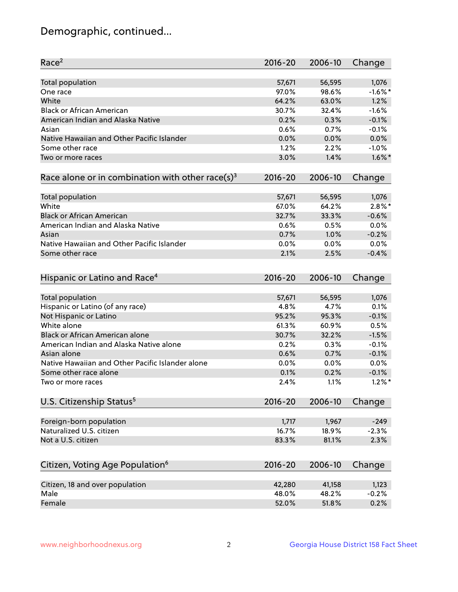## Demographic, continued...

| Race <sup>2</sup>                                            | $2016 - 20$ | 2006-10 | Change     |
|--------------------------------------------------------------|-------------|---------|------------|
| <b>Total population</b>                                      | 57,671      | 56,595  | 1,076      |
| One race                                                     | 97.0%       | 98.6%   | $-1.6\%$ * |
| White                                                        | 64.2%       | 63.0%   | 1.2%       |
| <b>Black or African American</b>                             | 30.7%       | 32.4%   | $-1.6%$    |
| American Indian and Alaska Native                            | 0.2%        | 0.3%    | $-0.1%$    |
| Asian                                                        | 0.6%        | 0.7%    | $-0.1%$    |
| Native Hawaiian and Other Pacific Islander                   | 0.0%        | 0.0%    | 0.0%       |
| Some other race                                              | 1.2%        | 2.2%    | $-1.0%$    |
| Two or more races                                            | 3.0%        | 1.4%    | $1.6\%$ *  |
| Race alone or in combination with other race(s) <sup>3</sup> | $2016 - 20$ | 2006-10 | Change     |
| <b>Total population</b>                                      | 57,671      | 56,595  | 1,076      |
| White                                                        | 67.0%       | 64.2%   | $2.8\%$ *  |
| <b>Black or African American</b>                             | 32.7%       | 33.3%   | $-0.6%$    |
| American Indian and Alaska Native                            | 0.6%        | 0.5%    | 0.0%       |
| Asian                                                        | 0.7%        | 1.0%    | $-0.2%$    |
| Native Hawaiian and Other Pacific Islander                   | 0.0%        | 0.0%    | 0.0%       |
| Some other race                                              | 2.1%        | 2.5%    | $-0.4%$    |
| Hispanic or Latino and Race <sup>4</sup>                     | $2016 - 20$ | 2006-10 | Change     |
| <b>Total population</b>                                      | 57,671      | 56,595  | 1,076      |
| Hispanic or Latino (of any race)                             | 4.8%        | 4.7%    | 0.1%       |
| Not Hispanic or Latino                                       | 95.2%       | 95.3%   | $-0.1%$    |
| White alone                                                  | 61.3%       | 60.9%   | 0.5%       |
| <b>Black or African American alone</b>                       | 30.7%       | 32.2%   | $-1.5%$    |
| American Indian and Alaska Native alone                      | 0.2%        | 0.3%    | $-0.1%$    |
| Asian alone                                                  | 0.6%        | 0.7%    | $-0.1%$    |
| Native Hawaiian and Other Pacific Islander alone             | $0.0\%$     | 0.0%    | 0.0%       |
| Some other race alone                                        | 0.1%        | 0.2%    | $-0.1%$    |
| Two or more races                                            | 2.4%        | 1.1%    | $1.2\%$ *  |
| U.S. Citizenship Status <sup>5</sup>                         | $2016 - 20$ | 2006-10 | Change     |
|                                                              |             |         |            |
| Foreign-born population                                      | 1,717       | 1,967   | $-249$     |
| Naturalized U.S. citizen                                     | 16.7%       | 18.9%   | $-2.3%$    |
| Not a U.S. citizen                                           | 83.3%       | 81.1%   | 2.3%       |
|                                                              |             |         |            |
| Citizen, Voting Age Population <sup>6</sup>                  | $2016 - 20$ | 2006-10 | Change     |
| Citizen, 18 and over population                              | 42,280      | 41,158  | 1,123      |
| Male                                                         | 48.0%       | 48.2%   | $-0.2%$    |
| Female                                                       | 52.0%       | 51.8%   | 0.2%       |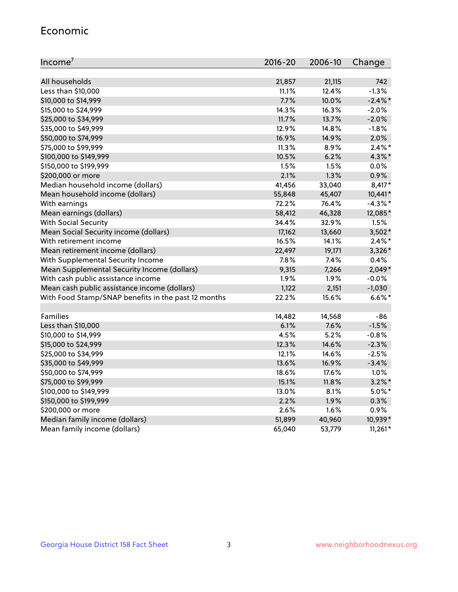#### Economic

| Income <sup>7</sup>                                 | 2016-20 | 2006-10 | Change     |
|-----------------------------------------------------|---------|---------|------------|
|                                                     |         |         |            |
| All households                                      | 21,857  | 21,115  | 742        |
| Less than \$10,000                                  | 11.1%   | 12.4%   | $-1.3%$    |
| \$10,000 to \$14,999                                | 7.7%    | 10.0%   | $-2.4\%$ * |
| \$15,000 to \$24,999                                | 14.3%   | 16.3%   | $-2.0%$    |
| \$25,000 to \$34,999                                | 11.7%   | 13.7%   | $-2.0%$    |
| \$35,000 to \$49,999                                | 12.9%   | 14.8%   | $-1.8%$    |
| \$50,000 to \$74,999                                | 16.9%   | 14.9%   | 2.0%       |
| \$75,000 to \$99,999                                | 11.3%   | 8.9%    | $2.4\%$ *  |
| \$100,000 to \$149,999                              | 10.5%   | 6.2%    | 4.3%*      |
| \$150,000 to \$199,999                              | 1.5%    | 1.5%    | 0.0%       |
| \$200,000 or more                                   | 2.1%    | 1.3%    | 0.9%       |
| Median household income (dollars)                   | 41,456  | 33,040  | 8,417*     |
| Mean household income (dollars)                     | 55,848  | 45,407  | $10,441*$  |
| With earnings                                       | 72.2%   | 76.4%   | $-4.3\%$ * |
| Mean earnings (dollars)                             | 58,412  | 46,328  | 12,085*    |
| <b>With Social Security</b>                         | 34.4%   | 32.9%   | 1.5%       |
| Mean Social Security income (dollars)               | 17,162  | 13,660  | $3,502*$   |
| With retirement income                              | 16.5%   | 14.1%   | $2.4\%$ *  |
| Mean retirement income (dollars)                    | 22,497  | 19,171  | 3,326*     |
| With Supplemental Security Income                   | 7.8%    | 7.4%    | 0.4%       |
| Mean Supplemental Security Income (dollars)         | 9,315   | 7,266   | $2,049*$   |
| With cash public assistance income                  | 1.9%    | 1.9%    | $-0.0%$    |
| Mean cash public assistance income (dollars)        | 1,122   | 2,151   | $-1,030$   |
| With Food Stamp/SNAP benefits in the past 12 months | 22.2%   | 15.6%   | $6.6\%$ *  |
|                                                     |         |         |            |
| Families                                            | 14,482  | 14,568  | $-86$      |
| Less than \$10,000                                  | 6.1%    | 7.6%    | $-1.5%$    |
| \$10,000 to \$14,999                                | 4.5%    | 5.2%    | $-0.8%$    |
| \$15,000 to \$24,999                                | 12.3%   | 14.6%   | $-2.3%$    |
| \$25,000 to \$34,999                                | 12.1%   | 14.6%   | $-2.5%$    |
| \$35,000 to \$49,999                                | 13.6%   | 16.9%   | $-3.4%$    |
| \$50,000 to \$74,999                                | 18.6%   | 17.6%   | 1.0%       |
| \$75,000 to \$99,999                                | 15.1%   | 11.8%   | $3.2\%$ *  |
| \$100,000 to \$149,999                              | 13.0%   | 8.1%    | $5.0\%$ *  |
| \$150,000 to \$199,999                              | 2.2%    | 1.9%    | 0.3%       |
| \$200,000 or more                                   | 2.6%    | 1.6%    | 0.9%       |
| Median family income (dollars)                      | 51,899  | 40,960  | 10,939*    |
| Mean family income (dollars)                        | 65,040  | 53,779  | $11,261*$  |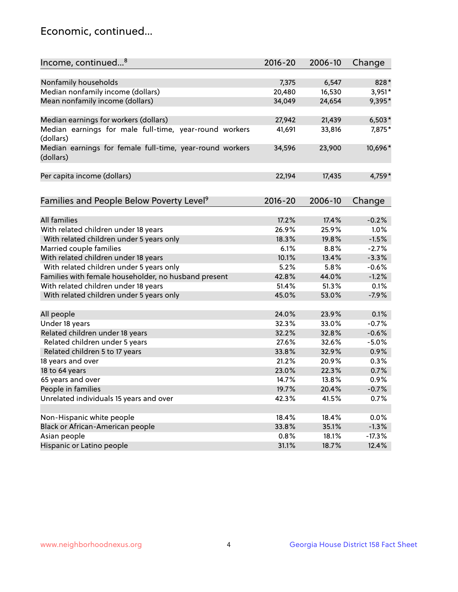## Economic, continued...

| Income, continued <sup>8</sup>                                        | $2016 - 20$ | 2006-10 | Change   |
|-----------------------------------------------------------------------|-------------|---------|----------|
|                                                                       |             |         |          |
| Nonfamily households                                                  | 7,375       | 6,547   | 828*     |
| Median nonfamily income (dollars)                                     | 20,480      | 16,530  | $3,951*$ |
| Mean nonfamily income (dollars)                                       | 34,049      | 24,654  | 9,395*   |
| Median earnings for workers (dollars)                                 | 27,942      | 21,439  | $6,503*$ |
| Median earnings for male full-time, year-round workers                | 41,691      | 33,816  | 7,875*   |
| (dollars)                                                             |             |         |          |
| Median earnings for female full-time, year-round workers<br>(dollars) | 34,596      | 23,900  | 10,696*  |
| Per capita income (dollars)                                           | 22,194      | 17,435  | 4,759*   |
|                                                                       |             |         |          |
| Families and People Below Poverty Level <sup>9</sup>                  | 2016-20     | 2006-10 | Change   |
|                                                                       |             |         |          |
| <b>All families</b>                                                   | 17.2%       | 17.4%   | $-0.2%$  |
| With related children under 18 years                                  | 26.9%       | 25.9%   | 1.0%     |
| With related children under 5 years only                              | 18.3%       | 19.8%   | $-1.5%$  |
| Married couple families                                               | 6.1%        | 8.8%    | $-2.7%$  |
| With related children under 18 years                                  | 10.1%       | 13.4%   | $-3.3%$  |
| With related children under 5 years only                              | 5.2%        | 5.8%    | $-0.6%$  |
| Families with female householder, no husband present                  | 42.8%       | 44.0%   | $-1.2%$  |
| With related children under 18 years                                  | 51.4%       | 51.3%   | 0.1%     |
| With related children under 5 years only                              | 45.0%       | 53.0%   | $-7.9%$  |
| All people                                                            | 24.0%       | 23.9%   | 0.1%     |
| Under 18 years                                                        | 32.3%       | 33.0%   | $-0.7%$  |
|                                                                       | 32.2%       |         | $-0.6%$  |
| Related children under 18 years                                       |             | 32.8%   |          |
| Related children under 5 years                                        | 27.6%       | 32.6%   | $-5.0%$  |
| Related children 5 to 17 years                                        | 33.8%       | 32.9%   | 0.9%     |
| 18 years and over                                                     | 21.2%       | 20.9%   | 0.3%     |
| 18 to 64 years                                                        | 23.0%       | 22.3%   | 0.7%     |
| 65 years and over                                                     | 14.7%       | 13.8%   | 0.9%     |
| People in families                                                    | 19.7%       | 20.4%   | $-0.7%$  |
| Unrelated individuals 15 years and over                               | 42.3%       | 41.5%   | 0.7%     |
|                                                                       |             |         |          |
| Non-Hispanic white people                                             | 18.4%       | 18.4%   | 0.0%     |
| Black or African-American people                                      | 33.8%       | 35.1%   | $-1.3%$  |
| Asian people                                                          | 0.8%        | 18.1%   | $-17.3%$ |
| Hispanic or Latino people                                             | 31.1%       | 18.7%   | 12.4%    |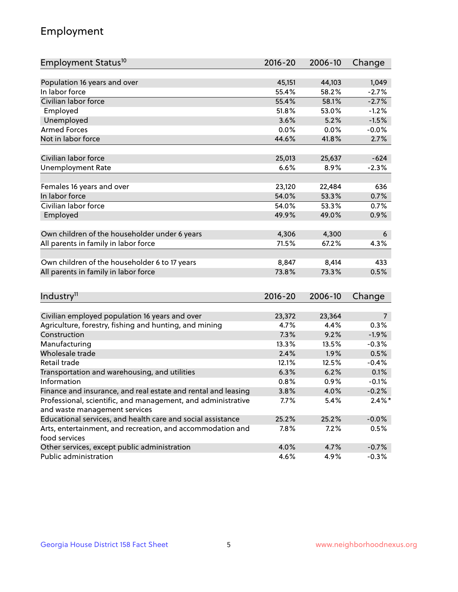## Employment

| Employment Status <sup>10</sup>                               | $2016 - 20$ | 2006-10 | Change    |
|---------------------------------------------------------------|-------------|---------|-----------|
|                                                               |             |         |           |
| Population 16 years and over                                  | 45,151      | 44,103  | 1,049     |
| In labor force                                                | 55.4%       | 58.2%   | $-2.7%$   |
| Civilian labor force                                          | 55.4%       | 58.1%   | $-2.7%$   |
| Employed                                                      | 51.8%       | 53.0%   | $-1.2%$   |
| Unemployed                                                    | 3.6%        | 5.2%    | $-1.5%$   |
| <b>Armed Forces</b>                                           | 0.0%        | 0.0%    | $-0.0%$   |
| Not in labor force                                            | 44.6%       | 41.8%   | 2.7%      |
|                                                               |             |         |           |
| Civilian labor force                                          | 25,013      | 25,637  | $-624$    |
| <b>Unemployment Rate</b>                                      | 6.6%        | 8.9%    | $-2.3%$   |
| Females 16 years and over                                     | 23,120      | 22,484  | 636       |
| In labor force                                                | 54.0%       | 53.3%   | 0.7%      |
| Civilian labor force                                          |             |         |           |
|                                                               | 54.0%       | 53.3%   | 0.7%      |
| Employed                                                      | 49.9%       | 49.0%   | 0.9%      |
| Own children of the householder under 6 years                 | 4,306       | 4,300   | 6         |
| All parents in family in labor force                          | 71.5%       | 67.2%   | 4.3%      |
|                                                               |             |         |           |
| Own children of the householder 6 to 17 years                 | 8,847       | 8,414   | 433       |
| All parents in family in labor force                          | 73.8%       | 73.3%   | 0.5%      |
|                                                               |             |         |           |
| Industry <sup>11</sup>                                        | $2016 - 20$ | 2006-10 | Change    |
|                                                               |             |         |           |
| Civilian employed population 16 years and over                | 23,372      | 23,364  | 7         |
| Agriculture, forestry, fishing and hunting, and mining        | 4.7%        | 4.4%    | 0.3%      |
| Construction                                                  | 7.3%        | 9.2%    | $-1.9%$   |
| Manufacturing                                                 | 13.3%       | 13.5%   | $-0.3%$   |
| Wholesale trade                                               | 2.4%        | 1.9%    | 0.5%      |
| Retail trade                                                  | 12.1%       | 12.5%   | $-0.4%$   |
| Transportation and warehousing, and utilities                 | 6.3%        | 6.2%    | 0.1%      |
| Information                                                   | 0.8%        | 0.9%    | $-0.1%$   |
| Finance and insurance, and real estate and rental and leasing | 3.8%        | 4.0%    | $-0.2%$   |
| Professional, scientific, and management, and administrative  | 7.7%        | 5.4%    | $2.4\%$ * |
| and waste management services                                 |             |         |           |
| Educational services, and health care and social assistance   | 25.2%       | 25.2%   | $-0.0%$   |
| Arts, entertainment, and recreation, and accommodation and    | 7.8%        | 7.2%    | 0.5%      |
| food services                                                 |             |         |           |
| Other services, except public administration                  | 4.0%        | 4.7%    | $-0.7%$   |
| Public administration                                         | 4.6%        | 4.9%    | $-0.3%$   |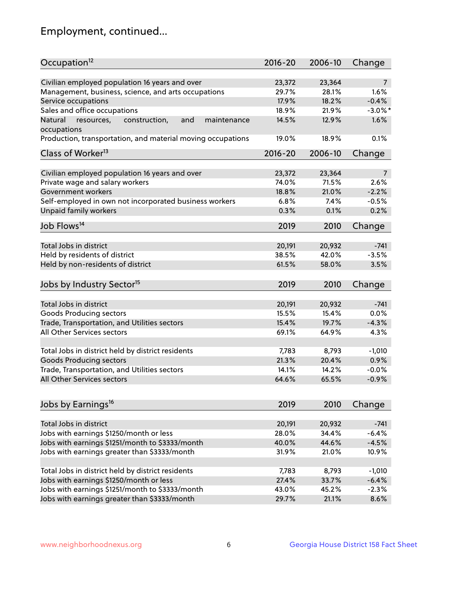## Employment, continued...

| Occupation <sup>12</sup>                                     | $2016 - 20$ | 2006-10 | Change         |
|--------------------------------------------------------------|-------------|---------|----------------|
| Civilian employed population 16 years and over               | 23,372      | 23,364  | $\overline{7}$ |
| Management, business, science, and arts occupations          | 29.7%       | 28.1%   | 1.6%           |
| Service occupations                                          | 17.9%       | 18.2%   | $-0.4%$        |
| Sales and office occupations                                 | 18.9%       | 21.9%   | $-3.0\%$ *     |
| Natural<br>and<br>resources,<br>construction,<br>maintenance | 14.5%       | 12.9%   | 1.6%           |
| occupations                                                  |             |         |                |
| Production, transportation, and material moving occupations  | 19.0%       | 18.9%   | 0.1%           |
| Class of Worker <sup>13</sup>                                | $2016 - 20$ | 2006-10 | Change         |
|                                                              |             |         |                |
| Civilian employed population 16 years and over               | 23,372      | 23,364  | $\overline{7}$ |
| Private wage and salary workers                              | 74.0%       | 71.5%   | 2.6%           |
| Government workers                                           | 18.8%       | 21.0%   | $-2.2%$        |
| Self-employed in own not incorporated business workers       | 6.8%        | 7.4%    | $-0.5%$        |
| Unpaid family workers                                        | 0.3%        | 0.1%    | 0.2%           |
| Job Flows <sup>14</sup>                                      | 2019        | 2010    | Change         |
|                                                              |             |         |                |
| Total Jobs in district                                       | 20,191      | 20,932  | $-741$         |
| Held by residents of district                                | 38.5%       | 42.0%   | $-3.5%$        |
| Held by non-residents of district                            | 61.5%       | 58.0%   | 3.5%           |
| Jobs by Industry Sector <sup>15</sup>                        | 2019        | 2010    | Change         |
|                                                              |             |         |                |
| Total Jobs in district                                       | 20,191      | 20,932  | $-741$         |
| <b>Goods Producing sectors</b>                               | 15.5%       | 15.4%   | 0.0%           |
| Trade, Transportation, and Utilities sectors                 | 15.4%       | 19.7%   | $-4.3%$        |
| All Other Services sectors                                   | 69.1%       | 64.9%   | 4.3%           |
|                                                              |             |         |                |
| Total Jobs in district held by district residents            | 7,783       | 8,793   | $-1,010$       |
| <b>Goods Producing sectors</b>                               | 21.3%       | 20.4%   | 0.9%           |
| Trade, Transportation, and Utilities sectors                 | 14.1%       | 14.2%   | $-0.0%$        |
| All Other Services sectors                                   | 64.6%       | 65.5%   | $-0.9%$        |
|                                                              |             |         |                |
| Jobs by Earnings <sup>16</sup>                               | 2019        | 2010    | Change         |
|                                                              |             |         |                |
| Total Jobs in district                                       | 20,191      | 20,932  | $-741$         |
| Jobs with earnings \$1250/month or less                      | 28.0%       | 34.4%   | $-6.4%$        |
| Jobs with earnings \$1251/month to \$3333/month              | 40.0%       | 44.6%   | $-4.5%$        |
| Jobs with earnings greater than \$3333/month                 | 31.9%       | 21.0%   | 10.9%          |
| Total Jobs in district held by district residents            | 7,783       | 8,793   | $-1,010$       |
| Jobs with earnings \$1250/month or less                      | 27.4%       | 33.7%   | $-6.4%$        |
| Jobs with earnings \$1251/month to \$3333/month              | 43.0%       | 45.2%   | $-2.3%$        |
| Jobs with earnings greater than \$3333/month                 | 29.7%       | 21.1%   | 8.6%           |
|                                                              |             |         |                |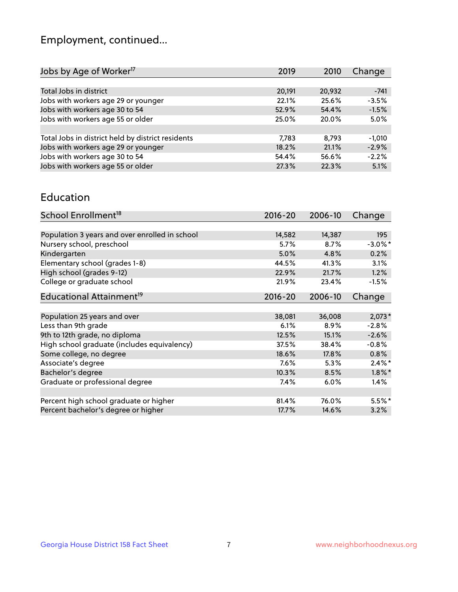## Employment, continued...

| Jobs by Age of Worker <sup>17</sup>               | 2019   | 2010   | Change   |
|---------------------------------------------------|--------|--------|----------|
|                                                   |        |        |          |
| Total Jobs in district                            | 20,191 | 20,932 | $-741$   |
| Jobs with workers age 29 or younger               | 22.1%  | 25.6%  | $-3.5%$  |
| Jobs with workers age 30 to 54                    | 52.9%  | 54.4%  | $-1.5%$  |
| Jobs with workers age 55 or older                 | 25.0%  | 20.0%  | 5.0%     |
|                                                   |        |        |          |
| Total Jobs in district held by district residents | 7,783  | 8,793  | $-1,010$ |
| Jobs with workers age 29 or younger               | 18.2%  | 21.1%  | $-2.9%$  |
| Jobs with workers age 30 to 54                    | 54.4%  | 56.6%  | $-2.2%$  |
| Jobs with workers age 55 or older                 | 27.3%  | 22.3%  | 5.1%     |

#### Education

| School Enrollment <sup>18</sup>                | $2016 - 20$ | 2006-10 | Change     |
|------------------------------------------------|-------------|---------|------------|
|                                                |             |         |            |
| Population 3 years and over enrolled in school | 14,582      | 14,387  | 195        |
| Nursery school, preschool                      | 5.7%        | 8.7%    | $-3.0\%$ * |
| Kindergarten                                   | 5.0%        | 4.8%    | 0.2%       |
| Elementary school (grades 1-8)                 | 44.5%       | 41.3%   | 3.1%       |
| High school (grades 9-12)                      | 22.9%       | 21.7%   | 1.2%       |
| College or graduate school                     | 21.9%       | 23.4%   | $-1.5%$    |
| Educational Attainment <sup>19</sup>           | $2016 - 20$ | 2006-10 | Change     |
|                                                |             |         |            |
| Population 25 years and over                   | 38,081      | 36,008  | $2,073*$   |
| Less than 9th grade                            | 6.1%        | 8.9%    | $-2.8%$    |
| 9th to 12th grade, no diploma                  | 12.5%       | 15.1%   | $-2.6%$    |
| High school graduate (includes equivalency)    | 37.5%       | 38.4%   | $-0.8%$    |
| Some college, no degree                        | 18.6%       | 17.8%   | 0.8%       |
| Associate's degree                             | 7.6%        | 5.3%    | $2.4\%$ *  |
| Bachelor's degree                              | 10.3%       | 8.5%    | $1.8\%$ *  |
| Graduate or professional degree                | 7.4%        | 6.0%    | 1.4%       |
|                                                |             |         |            |
| Percent high school graduate or higher         | 81.4%       | 76.0%   | $5.5%$ *   |
| Percent bachelor's degree or higher            | 17.7%       | 14.6%   | 3.2%       |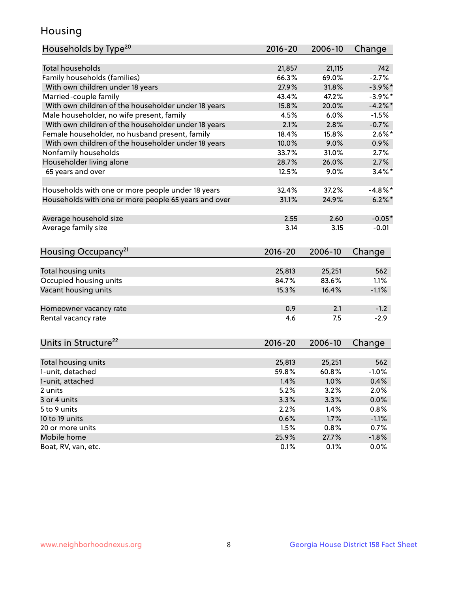## Housing

| Households by Type <sup>20</sup>                     | 2016-20     | 2006-10 | Change     |
|------------------------------------------------------|-------------|---------|------------|
|                                                      |             |         |            |
| <b>Total households</b>                              | 21,857      | 21,115  | 742        |
| Family households (families)                         | 66.3%       | 69.0%   | $-2.7%$    |
| With own children under 18 years                     | 27.9%       | 31.8%   | $-3.9\%$ * |
| Married-couple family                                | 43.4%       | 47.2%   | $-3.9\%$ * |
| With own children of the householder under 18 years  | 15.8%       | 20.0%   | $-4.2%$    |
| Male householder, no wife present, family            | 4.5%        | 6.0%    | $-1.5%$    |
| With own children of the householder under 18 years  | 2.1%        | 2.8%    | $-0.7%$    |
| Female householder, no husband present, family       | 18.4%       | 15.8%   | $2.6\%$ *  |
| With own children of the householder under 18 years  | 10.0%       | 9.0%    | 0.9%       |
| Nonfamily households                                 | 33.7%       | 31.0%   | 2.7%       |
| Householder living alone                             | 28.7%       | 26.0%   | 2.7%       |
| 65 years and over                                    | 12.5%       | 9.0%    | $3.4\%$ *  |
|                                                      |             |         |            |
| Households with one or more people under 18 years    | 32.4%       | 37.2%   | $-4.8\%$ * |
| Households with one or more people 65 years and over | 31.1%       | 24.9%   | $6.2\%$    |
|                                                      |             |         |            |
| Average household size                               | 2.55        | 2.60    | $-0.05*$   |
| Average family size                                  | 3.14        | 3.15    | $-0.01$    |
| Housing Occupancy <sup>21</sup>                      | $2016 - 20$ | 2006-10 | Change     |
|                                                      |             |         |            |
| Total housing units                                  | 25,813      | 25,251  | 562        |
| Occupied housing units                               | 84.7%       | 83.6%   | 1.1%       |
| Vacant housing units                                 | 15.3%       | 16.4%   | $-1.1%$    |
| Homeowner vacancy rate                               | 0.9         | 2.1     | $-1.2$     |
| Rental vacancy rate                                  | 4.6         | 7.5     | $-2.9$     |
|                                                      |             |         |            |
| Units in Structure <sup>22</sup>                     | 2016-20     | 2006-10 | Change     |
| Total housing units                                  | 25,813      | 25,251  | 562        |
| 1-unit, detached                                     | 59.8%       | 60.8%   | $-1.0%$    |
|                                                      | 1.4%        | 1.0%    | 0.4%       |
| 1-unit, attached<br>2 units                          | 5.2%        | 3.2%    | 2.0%       |
| 3 or 4 units                                         |             |         | 0.0%       |
|                                                      | 3.3%        | 3.3%    |            |
| 5 to 9 units                                         | 2.2%        | 1.4%    | 0.8%       |
| 10 to 19 units                                       | 0.6%        | 1.7%    | $-1.1%$    |
| 20 or more units                                     | 1.5%        | 0.8%    | 0.7%       |
| Mobile home                                          | 25.9%       | 27.7%   | $-1.8%$    |
| Boat, RV, van, etc.                                  | 0.1%        | 0.1%    | 0.0%       |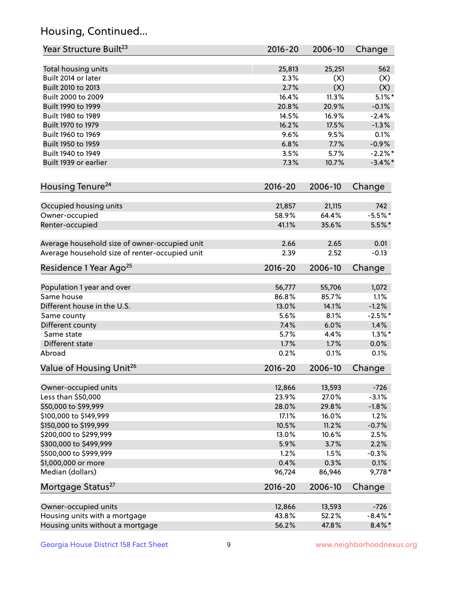## Housing, Continued...

| Year Structure Built <sup>23</sup>             | 2016-20       | 2006-10 | Change     |
|------------------------------------------------|---------------|---------|------------|
| Total housing units                            | 25,813        | 25,251  | 562        |
| Built 2014 or later                            | 2.3%          | (X)     | (X)        |
| Built 2010 to 2013                             | 2.7%          | (X)     | (X)        |
| Built 2000 to 2009                             | 16.4%         | 11.3%   | $5.1\%$ *  |
|                                                | 20.8%         | 20.9%   | $-0.1%$    |
| Built 1990 to 1999                             |               |         |            |
| Built 1980 to 1989<br>Built 1970 to 1979       | 14.5%         | 16.9%   | $-2.4%$    |
|                                                | 16.2%<br>9.6% | 17.5%   | $-1.3%$    |
| Built 1960 to 1969                             |               | 9.5%    | 0.1%       |
| Built 1950 to 1959                             | 6.8%          | 7.7%    | $-0.9%$    |
| Built 1940 to 1949                             | 3.5%          | 5.7%    | $-2.2%$    |
| Built 1939 or earlier                          | 7.3%          | 10.7%   | $-3.4\%$ * |
| Housing Tenure <sup>24</sup>                   | $2016 - 20$   | 2006-10 | Change     |
| Occupied housing units                         | 21,857        | 21,115  | 742        |
| Owner-occupied                                 | 58.9%         | 64.4%   | $-5.5%$ *  |
| Renter-occupied                                | 41.1%         | 35.6%   | $5.5\%$ *  |
| Average household size of owner-occupied unit  | 2.66          | 2.65    | 0.01       |
| Average household size of renter-occupied unit | 2.39          | 2.52    | $-0.13$    |
| Residence 1 Year Ago <sup>25</sup>             | $2016 - 20$   | 2006-10 | Change     |
|                                                |               |         |            |
| Population 1 year and over                     | 56,777        | 55,706  | 1,072      |
| Same house                                     | 86.8%         | 85.7%   | 1.1%       |
| Different house in the U.S.                    | 13.0%         | 14.1%   | $-1.2%$    |
| Same county                                    | 5.6%          | 8.1%    | $-2.5%$ *  |
| Different county                               | 7.4%          | 6.0%    | 1.4%       |
| Same state                                     | 5.7%          | 4.4%    | $1.3\%$ *  |
| Different state                                | 1.7%          | 1.7%    | 0.0%       |
| Abroad                                         | 0.2%          | 0.1%    | 0.1%       |
| Value of Housing Unit <sup>26</sup>            | $2016 - 20$   | 2006-10 | Change     |
| Owner-occupied units                           | 12,866        | 13,593  | $-726$     |
| Less than \$50,000                             | 23.9%         | 27.0%   | $-3.1%$    |
| \$50,000 to \$99,999                           | 28.0%         | 29.8%   | $-1.8%$    |
| \$100,000 to \$149,999                         | 17.1%         | 16.0%   | 1.2%       |
| \$150,000 to \$199,999                         | 10.5%         | 11.2%   | $-0.7%$    |
| \$200,000 to \$299,999                         | 13.0%         | 10.6%   | 2.5%       |
| \$300,000 to \$499,999                         | 5.9%          | 3.7%    | 2.2%       |
| \$500,000 to \$999,999                         | 1.2%          | 1.5%    | $-0.3%$    |
| \$1,000,000 or more                            | 0.4%          | 0.3%    | 0.1%       |
| Median (dollars)                               | 96,724        | 86,946  | $9,778*$   |
| Mortgage Status <sup>27</sup>                  | $2016 - 20$   | 2006-10 | Change     |
| Owner-occupied units                           | 12,866        | 13,593  | $-726$     |
| Housing units with a mortgage                  | 43.8%         | 52.2%   | $-8.4\%$ * |
|                                                |               |         |            |
| Housing units without a mortgage               | 56.2%         | 47.8%   | $8.4\% *$  |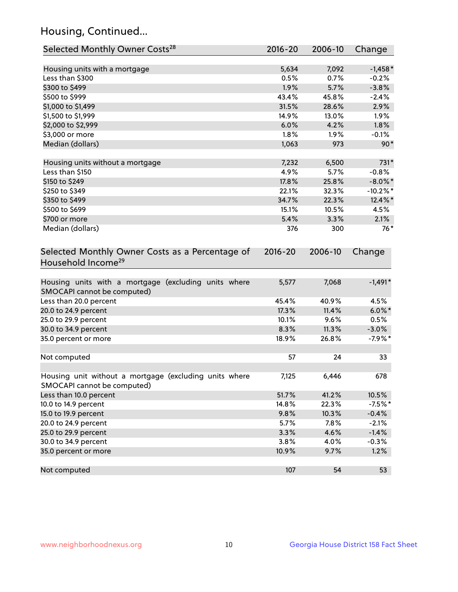## Housing, Continued...

| Selected Monthly Owner Costs <sup>28</sup>                                            | 2016-20     | 2006-10 | Change      |
|---------------------------------------------------------------------------------------|-------------|---------|-------------|
| Housing units with a mortgage                                                         | 5,634       | 7,092   | $-1,458*$   |
| Less than \$300                                                                       | 0.5%        | 0.7%    | $-0.2%$     |
| \$300 to \$499                                                                        | 1.9%        | 5.7%    | $-3.8%$     |
| \$500 to \$999                                                                        | 43.4%       | 45.8%   | $-2.4%$     |
| \$1,000 to \$1,499                                                                    | 31.5%       | 28.6%   | 2.9%        |
| \$1,500 to \$1,999                                                                    | 14.9%       | 13.0%   | 1.9%        |
| \$2,000 to \$2,999                                                                    | 6.0%        | 4.2%    | 1.8%        |
| \$3,000 or more                                                                       | $1.8\%$     | $1.9\%$ | $-0.1%$     |
| Median (dollars)                                                                      | 1,063       | 973     | $90*$       |
|                                                                                       |             |         |             |
| Housing units without a mortgage                                                      | 7,232       | 6,500   | 731*        |
| Less than \$150                                                                       | 4.9%        | 5.7%    | $-0.8%$     |
| \$150 to \$249                                                                        | 17.8%       | 25.8%   | $-8.0\%$ *  |
| \$250 to \$349                                                                        | 22.1%       | 32.3%   | $-10.2\%$ * |
| \$350 to \$499                                                                        | 34.7%       | 22.3%   | 12.4%*      |
| \$500 to \$699                                                                        | 15.1%       | 10.5%   | 4.5%        |
| \$700 or more                                                                         | 5.4%        | 3.3%    | 2.1%        |
| Median (dollars)                                                                      | 376         | 300     | $76*$       |
| Selected Monthly Owner Costs as a Percentage of<br>Household Income <sup>29</sup>     | $2016 - 20$ | 2006-10 | Change      |
| Housing units with a mortgage (excluding units where<br>SMOCAPI cannot be computed)   | 5,577       | 7,068   | $-1,491*$   |
| Less than 20.0 percent                                                                | 45.4%       | 40.9%   | 4.5%        |
| 20.0 to 24.9 percent                                                                  | 17.3%       | 11.4%   | $6.0\%$ *   |
| 25.0 to 29.9 percent                                                                  | 10.1%       | 9.6%    | 0.5%        |
| 30.0 to 34.9 percent                                                                  | 8.3%        | 11.3%   | $-3.0%$     |
| 35.0 percent or more                                                                  | 18.9%       | 26.8%   | $-7.9%$ *   |
| Not computed                                                                          | 57          | 24      | 33          |
| Housing unit without a mortgage (excluding units where<br>SMOCAPI cannot be computed) | 7,125       | 6,446   | 678         |
| Less than 10.0 percent                                                                | 51.7%       | 41.2%   | 10.5%       |
| 10.0 to 14.9 percent                                                                  | 14.8%       | 22.3%   | $-7.5%$ *   |
| 15.0 to 19.9 percent                                                                  | 9.8%        | 10.3%   | $-0.4%$     |
| 20.0 to 24.9 percent                                                                  | 5.7%        | 7.8%    | $-2.1%$     |
| 25.0 to 29.9 percent                                                                  | 3.3%        | 4.6%    | $-1.4%$     |
| 30.0 to 34.9 percent                                                                  | 3.8%        | 4.0%    | $-0.3%$     |
| 35.0 percent or more                                                                  | 10.9%       | 9.7%    | 1.2%        |
| Not computed                                                                          | 107         | 54      | 53          |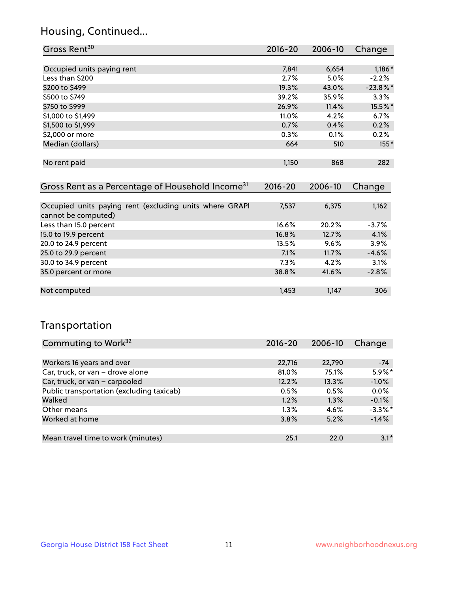## Housing, Continued...

| Gross Rent <sup>30</sup>                                     | 2016-20     | 2006-10 | Change      |
|--------------------------------------------------------------|-------------|---------|-------------|
|                                                              |             |         |             |
| Occupied units paying rent                                   | 7,841       | 6,654   | $1,186*$    |
| Less than \$200                                              | 2.7%        | 5.0%    | $-2.2%$     |
| \$200 to \$499                                               | 19.3%       | 43.0%   | $-23.8\%$ * |
| \$500 to \$749                                               | 39.2%       | 35.9%   | $3.3\%$     |
| \$750 to \$999                                               | 26.9%       | 11.4%   | 15.5%*      |
| \$1,000 to \$1,499                                           | 11.0%       | 4.2%    | 6.7%        |
| \$1,500 to \$1,999                                           | 0.7%        | 0.4%    | 0.2%        |
| \$2,000 or more                                              | $0.3\%$     | 0.1%    | 0.2%        |
| Median (dollars)                                             | 664         | 510     | $155*$      |
|                                                              |             |         |             |
| No rent paid                                                 | 1,150       | 868     | 282         |
|                                                              |             |         |             |
| Gross Rent as a Percentage of Household Income <sup>31</sup> | $2016 - 20$ | 2006-10 | Change      |
|                                                              |             |         |             |
| Occupied units paying rent (excluding units where GRAPI      | 7,537       | 6,375   | 1,162       |
| cannot be computed)                                          |             |         |             |
| Less than 15.0 percent                                       | 16.6%       | 20.2%   | $-3.7%$     |
| 15.0 to 19.9 percent                                         | 16.8%       | 12.7%   | 4.1%        |

| 20.0 to 24.9 percent | 13.5% | $9.6\%$ | $3.9\%$ |
|----------------------|-------|---------|---------|
| 25.0 to 29.9 percent | 7.1%  | 11.7%   | $-4.6%$ |
| 30.0 to 34.9 percent | 7.3%  | $4.2\%$ | 3.1%    |
| 35.0 percent or more | 38.8% | 41.6%   | $-2.8%$ |
|                      |       |         |         |
| Not computed         | 1.453 | 1.147   | 306     |
|                      |       |         |         |

## Transportation

| Commuting to Work <sup>32</sup>           | 2016-20 | 2006-10 | Change     |
|-------------------------------------------|---------|---------|------------|
|                                           |         |         |            |
| Workers 16 years and over                 | 22,716  | 22,790  | $-74$      |
| Car, truck, or van - drove alone          | 81.0%   | 75.1%   | $5.9\%$ *  |
| Car, truck, or van - carpooled            | 12.2%   | 13.3%   | $-1.0%$    |
| Public transportation (excluding taxicab) | 0.5%    | 0.5%    | 0.0%       |
| Walked                                    | 1.2%    | 1.3%    | $-0.1%$    |
| Other means                               | $1.3\%$ | 4.6%    | $-3.3\%$ * |
| Worked at home                            | 3.8%    | 5.2%    | $-1.4%$    |
|                                           |         |         |            |
| Mean travel time to work (minutes)        | 25.1    | 22.0    | $3.1*$     |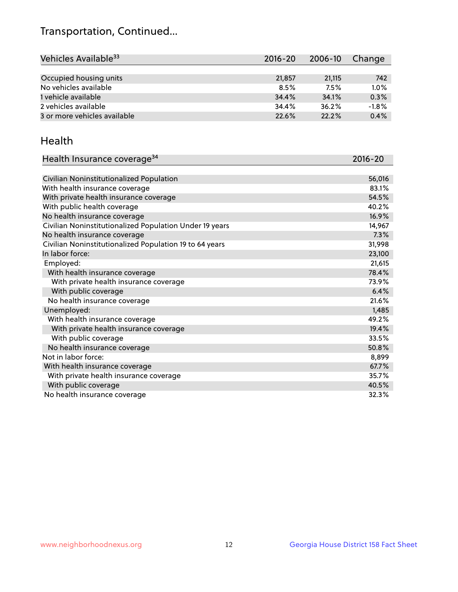## Transportation, Continued...

| Vehicles Available <sup>33</sup> | 2016-20 | 2006-10 | Change  |
|----------------------------------|---------|---------|---------|
|                                  |         |         |         |
| Occupied housing units           | 21,857  | 21,115  | 742     |
| No vehicles available            | 8.5%    | 7.5%    | 1.0%    |
| 1 vehicle available              | 34.4%   | 34.1%   | 0.3%    |
| 2 vehicles available             | 34.4%   | 36.2%   | $-1.8%$ |
| 3 or more vehicles available     | 22.6%   | 22.2%   | 0.4%    |

#### Health

| Health Insurance coverage <sup>34</sup>                 | 2016-20 |
|---------------------------------------------------------|---------|
|                                                         |         |
| Civilian Noninstitutionalized Population                | 56,016  |
| With health insurance coverage                          | 83.1%   |
| With private health insurance coverage                  | 54.5%   |
| With public health coverage                             | 40.2%   |
| No health insurance coverage                            | 16.9%   |
| Civilian Noninstitutionalized Population Under 19 years | 14,967  |
| No health insurance coverage                            | 7.3%    |
| Civilian Noninstitutionalized Population 19 to 64 years | 31,998  |
| In labor force:                                         | 23,100  |
| Employed:                                               | 21,615  |
| With health insurance coverage                          | 78.4%   |
| With private health insurance coverage                  | 73.9%   |
| With public coverage                                    | 6.4%    |
| No health insurance coverage                            | 21.6%   |
| Unemployed:                                             | 1,485   |
| With health insurance coverage                          | 49.2%   |
| With private health insurance coverage                  | 19.4%   |
| With public coverage                                    | 33.5%   |
| No health insurance coverage                            | 50.8%   |
| Not in labor force:                                     | 8,899   |
| With health insurance coverage                          | 67.7%   |
| With private health insurance coverage                  | 35.7%   |
| With public coverage                                    | 40.5%   |
| No health insurance coverage                            | 32.3%   |